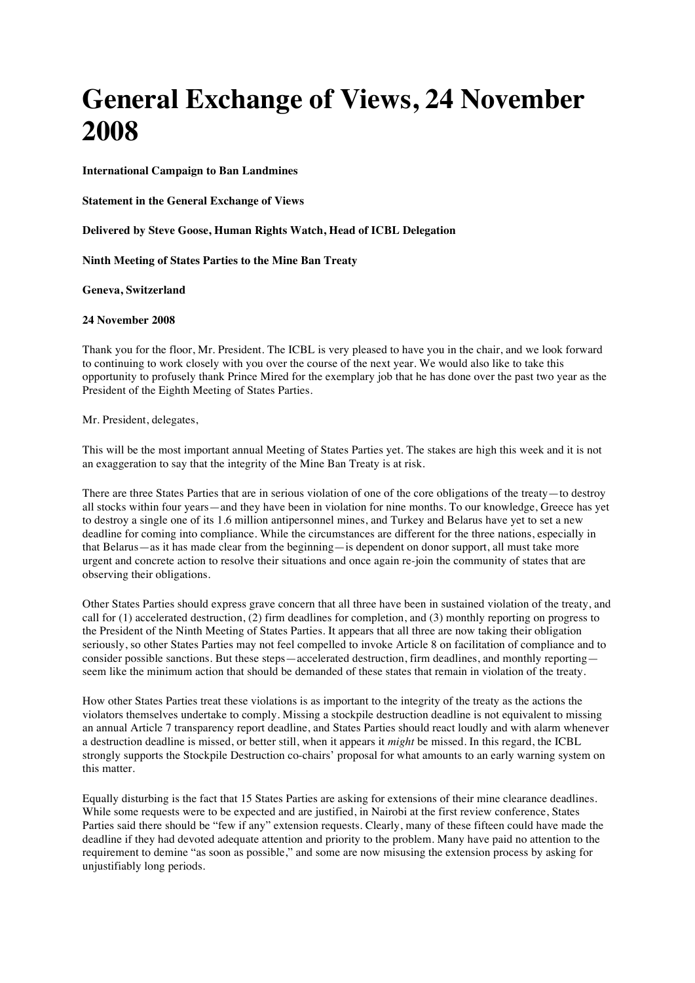## **General Exchange of Views, 24 November 2008**

**International Campaign to Ban Landmines**

**Statement in the General Exchange of Views**

**Delivered by Steve Goose, Human Rights Watch, Head of ICBL Delegation**

**Ninth Meeting of States Parties to the Mine Ban Treaty**

**Geneva, Switzerland**

## **24 November 2008**

Thank you for the floor, Mr. President. The ICBL is very pleased to have you in the chair, and we look forward to continuing to work closely with you over the course of the next year. We would also like to take this opportunity to profusely thank Prince Mired for the exemplary job that he has done over the past two year as the President of the Eighth Meeting of States Parties.

Mr. President, delegates,

This will be the most important annual Meeting of States Parties yet. The stakes are high this week and it is not an exaggeration to say that the integrity of the Mine Ban Treaty is at risk.

There are three States Parties that are in serious violation of one of the core obligations of the treaty—to destroy all stocks within four years—and they have been in violation for nine months. To our knowledge, Greece has yet to destroy a single one of its 1.6 million antipersonnel mines, and Turkey and Belarus have yet to set a new deadline for coming into compliance. While the circumstances are different for the three nations, especially in that Belarus—as it has made clear from the beginning—is dependent on donor support, all must take more urgent and concrete action to resolve their situations and once again re-join the community of states that are observing their obligations.

Other States Parties should express grave concern that all three have been in sustained violation of the treaty, and call for (1) accelerated destruction, (2) firm deadlines for completion, and (3) monthly reporting on progress to the President of the Ninth Meeting of States Parties. It appears that all three are now taking their obligation seriously, so other States Parties may not feel compelled to invoke Article 8 on facilitation of compliance and to consider possible sanctions. But these steps—accelerated destruction, firm deadlines, and monthly reporting seem like the minimum action that should be demanded of these states that remain in violation of the treaty.

How other States Parties treat these violations is as important to the integrity of the treaty as the actions the violators themselves undertake to comply. Missing a stockpile destruction deadline is not equivalent to missing an annual Article 7 transparency report deadline, and States Parties should react loudly and with alarm whenever a destruction deadline is missed, or better still, when it appears it *might* be missed. In this regard, the ICBL strongly supports the Stockpile Destruction co-chairs' proposal for what amounts to an early warning system on this matter.

Equally disturbing is the fact that 15 States Parties are asking for extensions of their mine clearance deadlines. While some requests were to be expected and are justified, in Nairobi at the first review conference, States Parties said there should be "few if any" extension requests. Clearly, many of these fifteen could have made the deadline if they had devoted adequate attention and priority to the problem. Many have paid no attention to the requirement to demine "as soon as possible," and some are now misusing the extension process by asking for unjustifiably long periods.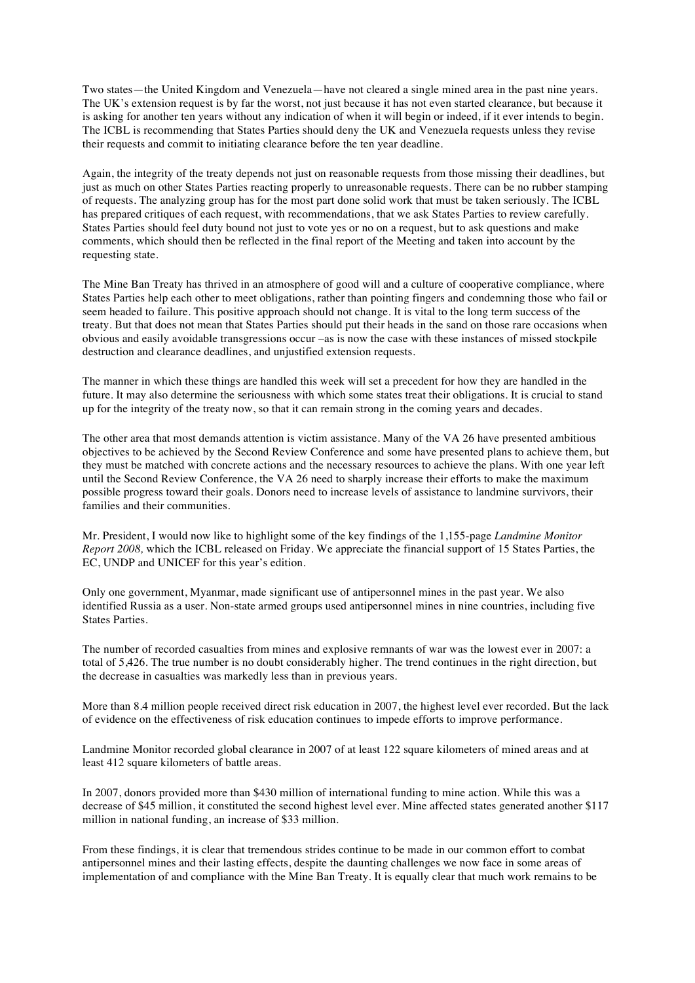Two states—the United Kingdom and Venezuela—have not cleared a single mined area in the past nine years. The UK's extension request is by far the worst, not just because it has not even started clearance, but because it is asking for another ten years without any indication of when it will begin or indeed, if it ever intends to begin. The ICBL is recommending that States Parties should deny the UK and Venezuela requests unless they revise their requests and commit to initiating clearance before the ten year deadline.

Again, the integrity of the treaty depends not just on reasonable requests from those missing their deadlines, but just as much on other States Parties reacting properly to unreasonable requests. There can be no rubber stamping of requests. The analyzing group has for the most part done solid work that must be taken seriously. The ICBL has prepared critiques of each request, with recommendations, that we ask States Parties to review carefully. States Parties should feel duty bound not just to vote yes or no on a request, but to ask questions and make comments, which should then be reflected in the final report of the Meeting and taken into account by the requesting state.

The Mine Ban Treaty has thrived in an atmosphere of good will and a culture of cooperative compliance, where States Parties help each other to meet obligations, rather than pointing fingers and condemning those who fail or seem headed to failure. This positive approach should not change. It is vital to the long term success of the treaty. But that does not mean that States Parties should put their heads in the sand on those rare occasions when obvious and easily avoidable transgressions occur –as is now the case with these instances of missed stockpile destruction and clearance deadlines, and unjustified extension requests.

The manner in which these things are handled this week will set a precedent for how they are handled in the future. It may also determine the seriousness with which some states treat their obligations. It is crucial to stand up for the integrity of the treaty now, so that it can remain strong in the coming years and decades.

The other area that most demands attention is victim assistance. Many of the VA 26 have presented ambitious objectives to be achieved by the Second Review Conference and some have presented plans to achieve them, but they must be matched with concrete actions and the necessary resources to achieve the plans. With one year left until the Second Review Conference, the VA 26 need to sharply increase their efforts to make the maximum possible progress toward their goals. Donors need to increase levels of assistance to landmine survivors, their families and their communities.

Mr. President, I would now like to highlight some of the key findings of the 1,155-page *Landmine Monitor Report 2008,* which the ICBL released on Friday*.* We appreciate the financial support of 15 States Parties, the EC, UNDP and UNICEF for this year's edition.

Only one government, Myanmar, made significant use of antipersonnel mines in the past year. We also identified Russia as a user. Non-state armed groups used antipersonnel mines in nine countries, including five States Parties.

The number of recorded casualties from mines and explosive remnants of war was the lowest ever in 2007: a total of 5,426. The true number is no doubt considerably higher. The trend continues in the right direction, but the decrease in casualties was markedly less than in previous years.

More than 8.4 million people received direct risk education in 2007, the highest level ever recorded. But the lack of evidence on the effectiveness of risk education continues to impede efforts to improve performance.

Landmine Monitor recorded global clearance in 2007 of at least 122 square kilometers of mined areas and at least 412 square kilometers of battle areas.

In 2007, donors provided more than \$430 million of international funding to mine action. While this was a decrease of \$45 million, it constituted the second highest level ever. Mine affected states generated another \$117 million in national funding, an increase of \$33 million.

From these findings, it is clear that tremendous strides continue to be made in our common effort to combat antipersonnel mines and their lasting effects, despite the daunting challenges we now face in some areas of implementation of and compliance with the Mine Ban Treaty. It is equally clear that much work remains to be